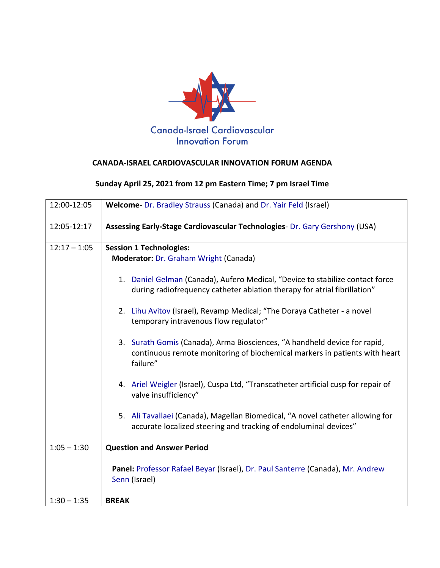

## **CANADA-ISRAEL CARDIOVASCULAR INNOVATION FORUM AGENDA**

## **Sunday April 25, 2021 from 12 pm Eastern Time; 7 pm Israel Time**

| 12:00-12:05    | Welcome- Dr. Bradley Strauss (Canada) and Dr. Yair Feld (Israel)                                                                                                    |
|----------------|---------------------------------------------------------------------------------------------------------------------------------------------------------------------|
| 12:05-12:17    | Assessing Early-Stage Cardiovascular Technologies- Dr. Gary Gershony (USA)                                                                                          |
| $12:17 - 1:05$ | <b>Session 1 Technologies:</b><br>Moderator: Dr. Graham Wright (Canada)                                                                                             |
|                | 1. Daniel Gelman (Canada), Aufero Medical, "Device to stabilize contact force<br>during radiofrequency catheter ablation therapy for atrial fibrillation"           |
|                | 2. Lihu Avitov (Israel), Revamp Medical; "The Doraya Catheter - a novel<br>temporary intravenous flow regulator"                                                    |
|                | 3. Surath Gomis (Canada), Arma Biosciences, "A handheld device for rapid,<br>continuous remote monitoring of biochemical markers in patients with heart<br>failure" |
|                | 4. Ariel Weigler (Israel), Cuspa Ltd, "Transcatheter artificial cusp for repair of<br>valve insufficiency"                                                          |
|                | 5. Ali Tavallaei (Canada), Magellan Biomedical, "A novel catheter allowing for<br>accurate localized steering and tracking of endoluminal devices"                  |
| $1:05 - 1:30$  | <b>Question and Answer Period</b>                                                                                                                                   |
|                | Panel: Professor Rafael Beyar (Israel), Dr. Paul Santerre (Canada), Mr. Andrew<br>Senn (Israel)                                                                     |
| $1:30 - 1:35$  | <b>BREAK</b>                                                                                                                                                        |